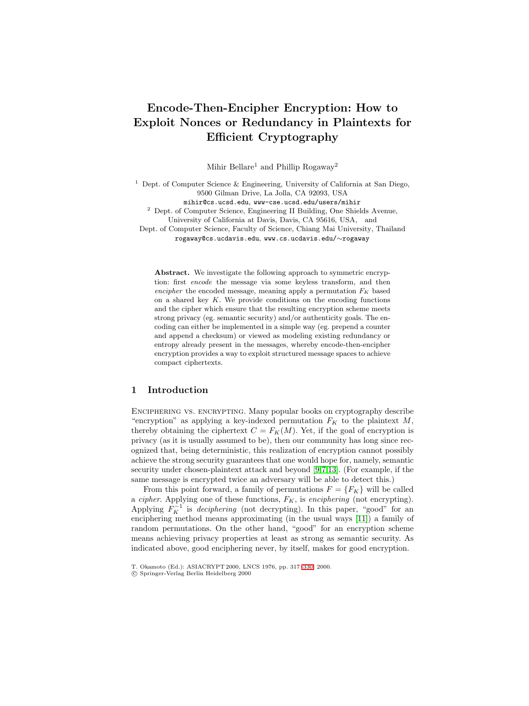# **Encode-Then-Encipher Encryption: How to Exploit Nonces or Redundancy in Plaintexts for Efficient Cryptography**

Mihir Bellare<sup>1</sup> and Phillip Rogaway<sup>2</sup>

<sup>1</sup> Dept. of Computer Science & Engineering, University of California at San Diego, 9500 Gilman Drive, La Jolla, CA92093, USA mihir@cs.ucsd.edu, www-cse.ucsd.edu/users/mihir <sup>2</sup> Dept. of Computer Science, Engineering II Building, One Shields Avenue, University of California at Davis, Davis, CA95616, USA, and Dept. of Computer Science, Faculty of Science, Chiang Mai University, Thailand rogaway@cs.ucdavis.edu, www.cs.ucdavis.edu/∼rogaway

**Abstract.** We investigate the following approach to symmetric encryption: first *encode* the message via some keyless transform, and then *encipher* the encoded message, meaning apply a permutation  $F_K$  based on a shared key *K*. We provide conditions on the encoding functions and the cipher which ensure that the resulting encryption scheme meets strong privacy (eg. semantic security) and/or authenticity goals. The encoding can either be implemented in a simple way (eg. prepend a counter and append a checksum) or viewed as modeling existing redundancy or entropy already present in the messages, whereby encode-then-encipher encryption provides a way to exploit structured message spaces to achieve compact ciphertexts.

### **1 Introduction**

Enciphering vs. encrypting. Many popular books on cryptography describe "encryption" as applying a key-indexed permutation  $F_K$  to the plaintext M, thereby obtaining the ciphertext  $C = F_K(M)$ . Yet, if the goal of encryption is privacy (as it is usually assumed to be), then our community has long since recognized that, being deterministic, this realization of encryption cannot possibly achieve the strong security guarantees that one would hope for, namely, semantic security under chosen-plaintext attack and beyond [\[9](#page-13-0)[,7](#page-13-1)[,13\]](#page-13-2). (For example, if the same message is encrypted twice an adversary will be able to detect this.)

From this point forward, a family of permutations  $F = \{F_K\}$  will be called a *cipher*. Applying one of these functions,  $F_K$ , is *enciphering* (not encrypting). Applying  $F_K^{-1}$  is *deciphering* (not decrypting). In this paper, "good" for an enciphering method means approximating (in the usual ways  $[11]$ ) a family of random permutations. On the other hand, "good" for an encryption scheme means achieving privacy properties at least as strong as semantic security. As indicated above, good enciphering never, by itself, makes for good encryption.

T. Okamoto (Ed.): ASIACRYPT 2000, LNCS 1976, pp. 317[–330,](#page-13-4) 2000.

<sup>-</sup>c Springer-Verlag Berlin Heidelberg 2000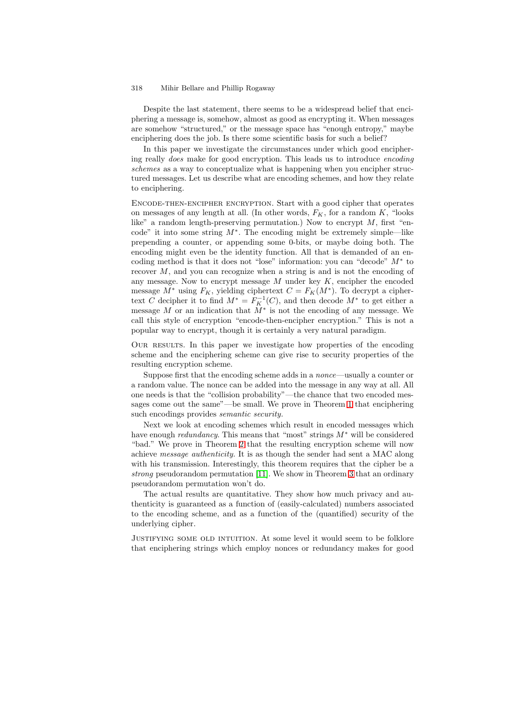Despite the last statement, there seems to be a widespread belief that enciphering a message is, somehow, almost as good as encrypting it. When messages are somehow "structured," or the message space has "enough entropy," maybe enciphering does the job. Is there some scientific basis for such a belief?

In this paper we investigate the circumstances under which good enciphering really *does* make for good encryption. This leads us to introduce *encoding schemes* as a way to conceptualize what is happening when you encipher structured messages. Let us describe what are encoding schemes, and how they relate to enciphering.

Encode-then-encipher encryption. Start with a good cipher that operates on messages of any length at all. (In other words,  $F_K$ , for a random  $K$ , "looks like" a random length-preserving permutation.) Now to encrypt  $M$ , first "encode" it into some string  $M^*$ . The encoding might be extremely simple—like prepending a counter, or appending some 0-bits, or maybe doing both. The encoding might even be the identity function. All that is demanded of an encoding method is that it does not "lose" information: you can "decode"  $M^*$  to recover M, and you can recognize when a string is and is not the encoding of any message. Now to encrypt message  $M$  under key  $K$ , encipher the encoded message  $M^*$  using  $F_K$ , yielding ciphertext  $C = F_K(M^*)$ . To decrypt a ciphertext C decipher it to find  $M^* = F_K^{-1}(C)$ , and then decode  $M^*$  to get either a message M or an indication that  $M^*$  is not the encoding of any message. We call this style of encryption "encode-then-encipher encryption." This is not a popular way to encrypt, though it is certainly a very natural paradigm.

OUR RESULTS. In this paper we investigate how properties of the encoding scheme and the enciphering scheme can give rise to security properties of the resulting encryption scheme.

Suppose first that the encoding scheme adds in a *nonce*—usually a counter or a random value. The nonce can be added into the message in any way at all. All one needs is that the "collision probability"—the chance that two encoded messages come out the same"—be small. We prove in Theorem [1](#page-10-0) that enciphering such encodings provides *semantic security.*

Next we look at encoding schemes which result in encoded messages which have enough *redundancy*. This means that "most" strings M<sup>∗</sup> will be considered "bad." We prove in Theorem [2](#page-11-0) that the resulting encryption scheme will now achieve *message authenticity.* It is as though the sender had sent a MAC along with his transmission. Interestingly, this theorem requires that the cipher be a *strong* pseudorandom permutation [\[11\]](#page-13-3). We show in Theorem [3](#page-12-0) that an ordinary pseudorandom permutation won't do.

The actual results are quantitative. They show how much privacy and authenticity is guaranteed as a function of (easily-calculated) numbers associated to the encoding scheme, and as a function of the (quantified) security of the underlying cipher.

Justifying some old intuition. At some level it would seem to be folklore that enciphering strings which employ nonces or redundancy makes for good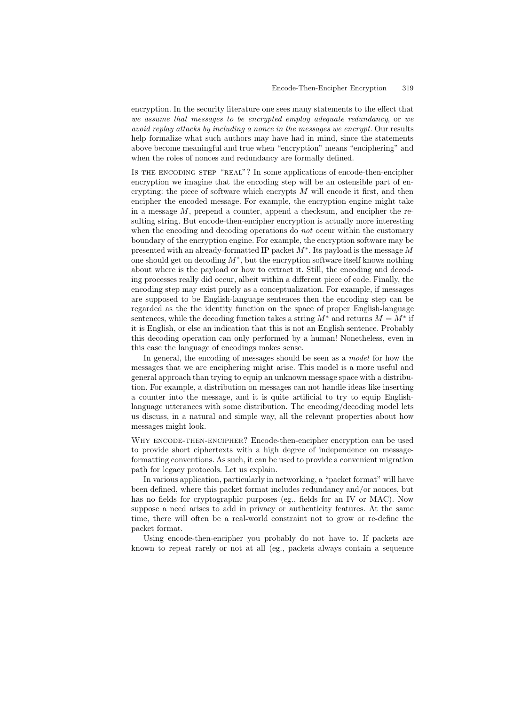encryption. In the security literature one sees many statements to the effect that *we assume that messages to be encrypted employ adequate redundancy*, or *we avoid replay attacks by including a nonce in the messages we encrypt.* Our results help formalize what such authors may have had in mind, since the statements above become meaningful and true when "encryption" means "enciphering" and when the roles of nonces and redundancy are formally defined.

Is THE ENCODING STEP "REAL"? In some applications of encode-then-encipher encryption we imagine that the encoding step will be an ostensible part of encrypting: the piece of software which encrypts  $M$  will encode it first, and then encipher the encoded message. For example, the encryption engine might take in a message M, prepend a counter, append a checksum, and encipher the resulting string. But encode-then-encipher encryption is actually more interesting when the encoding and decoding operations do *not* occur within the customary boundary of the encryption engine. For example, the encryption software may be presented with an already-formatted IP packet M∗. Its payload is the message M one should get on decoding M∗, but the encryption software itself knows nothing about where is the payload or how to extract it. Still, the encoding and decoding processes really did occur, albeit within a different piece of code. Finally, the encoding step may exist purely as a conceptualization. For example, if messages are supposed to be English-language sentences then the encoding step can be regarded as the the identity function on the space of proper English-language sentences, while the decoding function takes a string  $M^*$  and returns  $M = M^*$  if it is English, or else an indication that this is not an English sentence. Probably this decoding operation can only performed by a human! Nonetheless, even in this case the language of encodings makes sense.

In general, the encoding of messages should be seen as a *model* for how the messages that we are enciphering might arise. This model is a more useful and general approach than trying to equip an unknown message space with a distribution. For example, a distribution on messages can not handle ideas like inserting a counter into the message, and it is quite artificial to try to equip Englishlanguage utterances with some distribution. The encoding/decoding model lets us discuss, in a natural and simple way, all the relevant properties about how messages might look.

Why encode-then-encipher? Encode-then-encipher encryption can be used to provide short ciphertexts with a high degree of independence on messageformatting conventions. As such, it can be used to provide a convenient migration path for legacy protocols. Let us explain.

In various application, particularly in networking, a "packet format" will have been defined, where this packet format includes redundancy and/or nonces, but has no fields for cryptographic purposes (eg., fields for an IV or MAC). Now suppose a need arises to add in privacy or authenticity features. At the same time, there will often be a real-world constraint not to grow or re-define the packet format.

Using encode-then-encipher you probably do not have to. If packets are known to repeat rarely or not at all (eg., packets always contain a sequence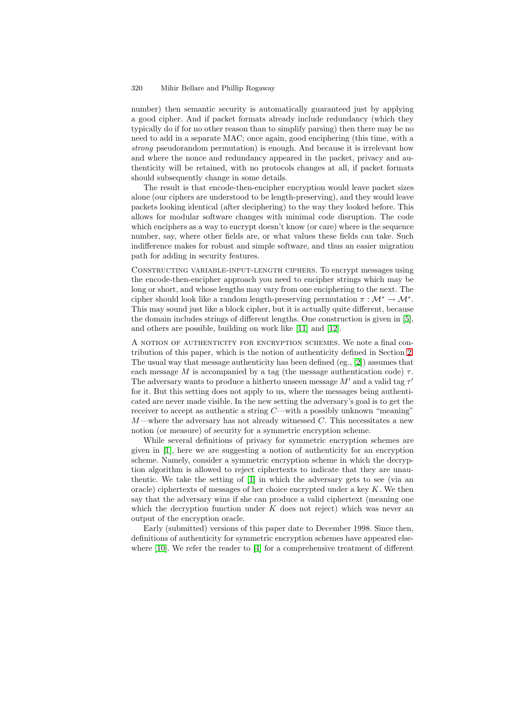number) then semantic security is automatically guaranteed just by applying a good cipher. And if packet formats already include redundancy (which they typically do if for no other reason than to simplify parsing) then there may be no need to add in a separate MAC; once again, good enciphering (this time, with a *strong* pseudorandom permutation) is enough. And because it is irrelevant how and where the nonce and redundancy appeared in the packet, privacy and authenticity will be retained, with no protocols changes at all, if packet formats should subsequently change in some details.

The result is that encode-then-encipher encryption would leave packet sizes alone (our ciphers are understood to be length-preserving), and they would leave packets looking identical (after deciphering) to the way they looked before. This allows for modular software changes with minimal code disruption. The code which enciphers as a way to encrypt doesn't know (or care) where is the sequence number, say, where other fields are, or what values these fields can take. Such indifference makes for robust and simple software, and thus an easier migration path for adding in security features.

Constructing variable-input-length ciphers. To encrypt messages using the encode-then-encipher approach you need to encipher strings which may be long or short, and whose lengths may vary from one enciphering to the next. The cipher should look like a random length-preserving permutation  $\pi : \mathcal{M}^* \to \mathcal{M}^*$ . This may sound just like a block cipher, but it is actually quite different, because the domain includes strings of different lengths. One construction is given in [\[5\]](#page-13-5), and others are possible, building on work like [\[11\]](#page-13-3) and [\[12\]](#page-13-6).

A NOTION OF AUTHENTICITY FOR ENCRYPTION SCHEMES. We note a final contribution of this paper, which is the notion of authenticity defined in Section [2.](#page-4-0) The usual way that message authenticity has been defined (eg.,  $[2]$ ) assumes that each message M is accompanied by a tag (the message authentication code)  $\tau$ . The adversary wants to produce a hitherto unseen message  $M'$  and a valid tag  $\tau'$ for it. But this setting does not apply to us, where the messages being authenticated are never made visible. In the new setting the adversary's goal is to get the receiver to accept as authentic a string C—with a possibly unknown "meaning"  $M$ —where the adversary has not already witnessed  $C$ . This necessitates a new notion (or measure) of security for a symmetric encryption scheme.

While several definitions of privacy for symmetric encryption schemes are given in [\[1\]](#page-13-8), here we are suggesting a notion of authenticity for an encryption scheme. Namely, consider a symmetric encryption scheme in which the decryption algorithm is allowed to reject ciphertexts to indicate that they are unauthentic. We take the setting of [\[1\]](#page-13-8) in which the adversary gets to see (via an oracle) ciphertexts of messages of her choice encrypted under a key  $K$ . We then say that the adversary wins if she can produce a valid ciphertext (meaning one which the decryption function under  $K$  does not reject) which was never an output of the encryption oracle.

Early (submitted) versions of this paper date to December 1998. Since then, definitions of authenticity for symmetric encryption schemes have appeared elsewhere [\[10\]](#page-13-9). We refer the reader to [\[4\]](#page-13-10) for a comprehensive treatment of different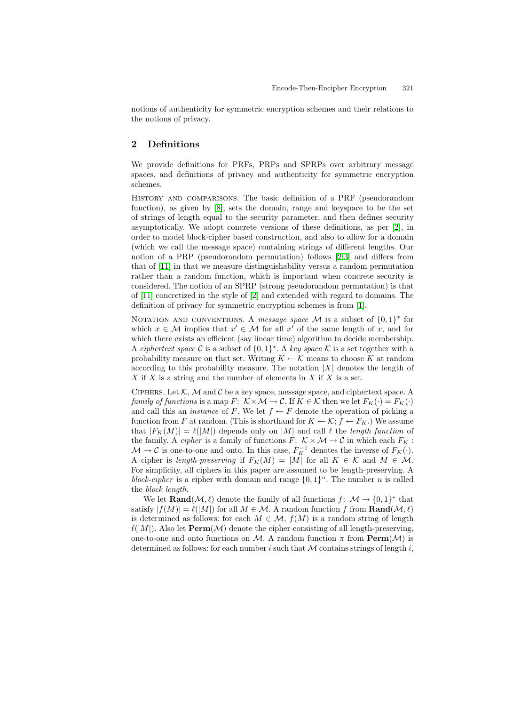notions of authenticity for symmetric encryption schemes and their relations to the notions of privacy.

### <span id="page-4-0"></span>2 Definitions

We provide definitions for PRFs, PRPs and SPRPs over arbitrary message spaces, and definitions of privacy and authenticity for symmetric encryption schemes.

History and comparisons. The basic definition of a PRF (pseudorandom function), as given by [\[8\]](#page-13-11), sets the domain, range and keyspace to be the set of strings of length equal to the security parameter, and then defines security asymptotically. We adopt concrete versions of these definitions, as per [\[2\]](#page-13-7), in order to model block-cipher based construction, and also to allow for a domain (which we call the message space) containing strings of different lengths. Our notion of a PRP (pseudorandom permutation) follows  $[2,3]$  $[2,3]$  and differs from that of [\[11\]](#page-13-3) in that we measure distinguishability versus a random permutation rather than a random function, which is important when concrete security is considered. The notion of an SPRP (strong pseudorandom permutation) is that of [\[11\]](#page-13-3) concretized in the style of [\[2\]](#page-13-7) and extended with regard to domains. The definition of privacy for symmetric encryption schemes is from [\[1\]](#page-13-8).

NOTATION AND CONVENTIONS. A *message space* M is a subset of  $\{0, 1\}^*$  for which  $x \in \mathcal{M}$  implies that  $x' \in \mathcal{M}$  for all  $x'$  of the same length of x, and for which there exists an efficient (say linear time) algorithm to decide membership. A *ciphertext space* C is a subset of {0, 1}∗. A *key space* K is a set together with a probability measure on that set. Writing  $K \leftarrow \mathcal{K}$  means to choose K at random according to this probability measure. The notation  $|X|$  denotes the length of  $X$  if  $X$  is a string and the number of elements in  $X$  if  $X$  is a set.

CIPHERS. Let  $\mathcal{K},\mathcal{M}$  and  $\mathcal{C}$  be a key space, message space, and ciphertext space. A *family of functions* is a map  $F: \mathcal{K} \times \mathcal{M} \to \mathcal{C}$ . If  $K \in \mathcal{K}$  then we let  $F_K(\cdot) = F_K(\cdot)$ and call this an *instance* of F. We let  $f \leftarrow F$  denote the operation of picking a function from F at random. (This is shorthand for  $K \leftarrow \mathcal{K}$ ;  $f \leftarrow F_K$ .) We assume that  $|F_K(M)| = \ell(|M|)$  depends only on |M| and call  $\ell$  the *length function* of the family. A *cipher* is a family of functions  $F: \mathcal{K} \times \mathcal{M} \to \mathcal{C}$  in which each  $F_K$ :  $\mathcal{M} \to \mathcal{C}$  is one-to-one and onto. In this case,  $F_K^{-1}$  denotes the inverse of  $F_K(\cdot)$ . A cipher is *length-preserving* if  $F_K(M) = |M|$  for all  $K \in \mathcal{K}$  and  $M \in \mathcal{M}$ . For simplicity, all ciphers in this paper are assumed to be length-preserving. A *block-cipher* is a cipher with domain and range  $\{0, 1\}^n$ . The number n is called the *block length*.

We let **Rand**( $M, \ell$ ) denote the family of all functions  $f: M \to \{0, 1\}^*$  that satisfy  $|f(M)| = \ell(|M|)$  for all  $M \in \mathcal{M}$ . A random function f from **Rand** $(\mathcal{M}, \ell)$ is determined as follows: for each  $M \in \mathcal{M}$ ,  $f(M)$  is a random string of length  $\ell(|M|)$ . Also let  $\text{Perm}(\mathcal{M})$  denote the cipher consisting of all length-preserving, one-to-one and onto functions on M. A random function  $\pi$  from **Perm** $(\mathcal{M})$  is determined as follows: for each number i such that  $M$  contains strings of length i,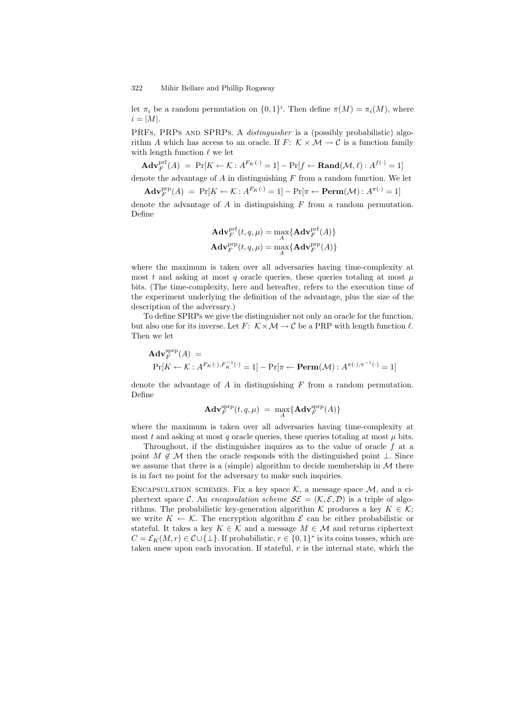let  $\pi_i$  be a random permutation on  $\{0,1\}^i$ . Then define  $\pi(M) = \pi_i(M)$ , where  $i = |M|.$ 

PRFs, PRPs AND SPRPs. A *distinguisher* is a (possibly probabilistic) algorithm A which has access to an oracle. If  $F: \mathcal{K} \times \mathcal{M} \rightarrow \mathcal{C}$  is a function family with length function  $\ell$  we let

 $\mathbf{Adv}_{F}^{\text{prf}}(A) = \Pr[K \leftarrow \mathcal{K} : A^{F_{K}(\cdot)} = 1] - \Pr[f \leftarrow \mathbf{Rand}(\mathcal{M}, \ell) : A^{f(\cdot)} = 1]$ 

denote the advantage of  $A$  in distinguishing  $F$  from a random function. We let

$$
\mathbf{Adv}_{F}^{\text{prp}}(A) = \Pr[K \leftarrow \mathcal{K} : A^{F_{K}(\cdot)} = 1] - \Pr[\pi \leftarrow \mathbf{Perm}(\mathcal{M}) : A^{\pi(\cdot)} = 1]
$$

denote the advantage of  $A$  in distinguishing  $F$  from a random permutation. Define

$$
\mathbf{Adv}_{F}^{\text{prf}}(t, q, \mu) = \max_{A} \{ \mathbf{Adv}_{F}^{\text{prf}}(A) \}
$$

$$
\mathbf{Adv}_{F}^{\text{prp}}(t, q, \mu) = \max_{A} \{ \mathbf{Adv}_{F}^{\text{prp}}(A) \}
$$

where the maximum is taken over all adversaries having time-complexity at most t and asking at most q oracle queries, these queries totaling at most  $\mu$ bits. (The time-complexity, here and hereafter, refers to the execution time of the experiment underlying the definition of the advantage, plus the size of the description of the adversary.)

To define SPRPs we give the distinguisher not only an oracle for the function, but also one for its inverse. Let  $F: \mathcal{K} \times \mathcal{M} \to \mathcal{C}$  be a PRP with length function  $\ell$ . Then we let

$$
\mathbf{Adv}_{F}^{\text{spp}}(A) =
$$
  
 
$$
\Pr[K \leftarrow \mathcal{K} : A^{F_{K}(\cdot), F_{K}^{-1}(\cdot)} = 1] - \Pr[\pi \leftarrow \mathbf{Perm}(\mathcal{M}) : A^{\pi(\cdot), \pi^{-1}(\cdot)} = 1]
$$

denote the advantage of  $A$  in distinguishing  $F$  from a random permutation. Define

$$
\mathbf{Adv}_{F}^{\text{sprp}}(t,q,\mu) = \max_{A} \{ \mathbf{Adv}_{F}^{\text{sprp}}(A) \}
$$

where the maximum is taken over all adversaries having time-complexity at most t and asking at most q oracle queries, these queries totaling at most  $\mu$  bits.

Throughout, if the distinguisher inquires as to the value of oracle  $f$  at a point  $M \notin \mathcal{M}$  then the oracle responds with the distinguished point  $\bot$ . Since we assume that there is a (simple) algorithm to decide membership in  $\mathcal M$  there is in fact no point for the adversary to make such inquiries.

ENCAPSULATION SCHEMES. Fix a key space  $K$ , a message space  $M$ , and a ciphertext space C. An *encapsulation scheme*  $\mathcal{SE} = (\mathcal{K}, \mathcal{E}, \mathcal{D})$  is a triple of algorithms. The probabilistic key-generation algorithm K produces a key  $K \in \mathcal{K}$ ; we write  $K \leftarrow \mathcal{K}$ . The encryption algorithm  $\mathcal{E}$  can be either probabilistic or stateful. It takes a key  $K \in \mathcal{K}$  and a message  $M \in \mathcal{M}$  and returns ciphertext  $C = \mathcal{E}_K(M, r) \in \mathcal{C} \cup \{\perp\}.$  If probabilistic,  $r \in \{0, 1\}^*$  is its coins tosses, which are taken anew upon each invocation. If stateful,  $r$  is the internal state, which the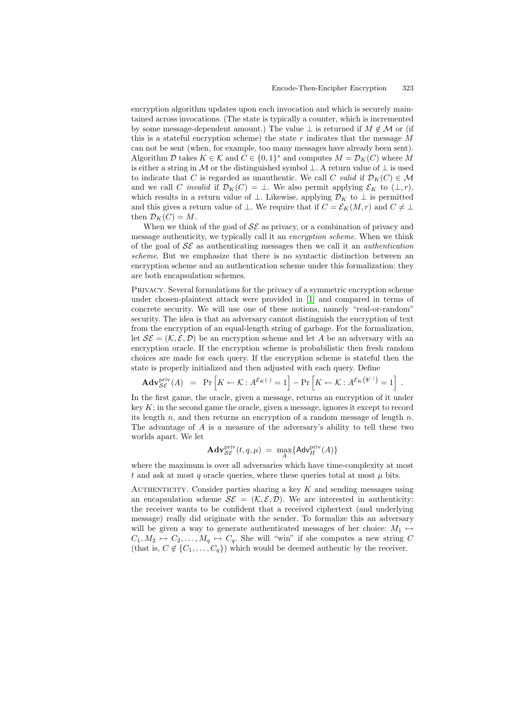encryption algorithm updates upon each invocation and which is securely maintained across invocations. (The state is typically a counter, which is incremented by some message-dependent amount.) The value  $\perp$  is returned if  $M \notin \mathcal{M}$  or (if this is a stateful encryption scheme) the state r indicates that the message  $M$ can not be sent (when, for example, too many messages have already been sent). Algorithm D takes  $K \in \mathcal{K}$  and  $C \in \{0,1\}^*$  and computes  $M = \mathcal{D}_K(C)$  where M is either a string in  $\mathcal M$  or the distinguished symbol  $\bot$ . A return value of  $\bot$  is used to indicate that C is regarded as unauthentic. We call C *valid* if  $\mathcal{D}_K(C) \in \mathcal{M}$ and we call C *invalid* if  $\mathcal{D}_K(C) = \perp$ . We also permit applying  $\mathcal{E}_K$  to  $(\perp, r)$ , which results in a return value of  $\bot$ . Likewise, applying  $\mathcal{D}_K$  to  $\bot$  is permitted and this gives a return value of  $\bot$ . We require that if  $C = \mathcal{E}_K(M, r)$  and  $C \neq \bot$ then  $\mathcal{D}_K(C) = M$ .

When we think of the goal of  $\mathcal{SE}$  as privacy, or a combination of privacy and message authenticity, we typically call it an *encryption scheme*. When we think of the goal of SE as authenticating messages then we call it an *authentication scheme*. But we emphasize that there is no syntactic distinction between an encryption scheme and an authentication scheme under this formalization: they are both encapsulation schemes.

Privacy. Several formulations for the privacy of a symmetric encryption scheme under chosen-plaintext attack were provided in [\[1\]](#page-13-8) and compared in terms of concrete security. We will use one of these notions, namely "real-or-random" security. The idea is that an adversary cannot distinguish the encryption of text from the encryption of an equal-length string of garbage. For the formalization, let  $\mathcal{S}\mathcal{E} = (\mathcal{K}, \mathcal{E}, \mathcal{D})$  be an encryption scheme and let A be an adversary with an encryption oracle. If the encryption scheme is probabilistic then fresh random choices are made for each query. If the encryption scheme is stateful then the state is properly initialized and then adjusted with each query. Define

$$
\mathbf{Adv}_{\mathcal{SE}}^{\text{priv}}(A) = \Pr\left[K \leftarrow \mathcal{K} : A^{\mathcal{E}_{\mathcal{K}}(\cdot)} = 1\right] - \Pr\left[K \leftarrow \mathcal{K} : A^{\mathcal{E}_{\mathcal{K}}\left(\mathbb{S}^{\mid \cdot\right)}\right)} = 1\right].
$$

In the first game, the oracle, given a message, returns an encryption of it under key  $K$ ; in the second game the oracle, given a message, ignores it except to record its length  $n$ , and then returns an encryption of a random message of length  $n$ . The advantage of A is a measure of the adversary's ability to tell these two worlds apart. We let

$$
\mathbf{Adv}_{\mathcal{SE}}^{\text{priv}}(t,q,\mu) = \max_{A} \{ \mathsf{Adv}_{\Pi}^{\text{priv}}(A) \}
$$

where the maximum is over all adversaries which have time-complexity at most t and ask at most q oracle queries, where these queries total at most  $\mu$  bits.

AUTHENTICITY. Consider parties sharing a key  $K$  and sending messages using an encapsulation scheme  $\mathcal{SE} = (K, \mathcal{E}, \mathcal{D})$ . We are interested in authenticity: the receiver wants to be confident that a received ciphertext (and underlying message) really did originate with the sender. To formalize this an adversary will be given a way to generate authenticated messages of her choice:  $M_1 \mapsto$  $C_1, M_2 \mapsto C_2, \ldots, M_q \mapsto C_q$ . She will "win" if she computes a new string C (that is,  $C \notin \{C_1, \ldots, C_q\}$ ) which would be deemed authentic by the receiver.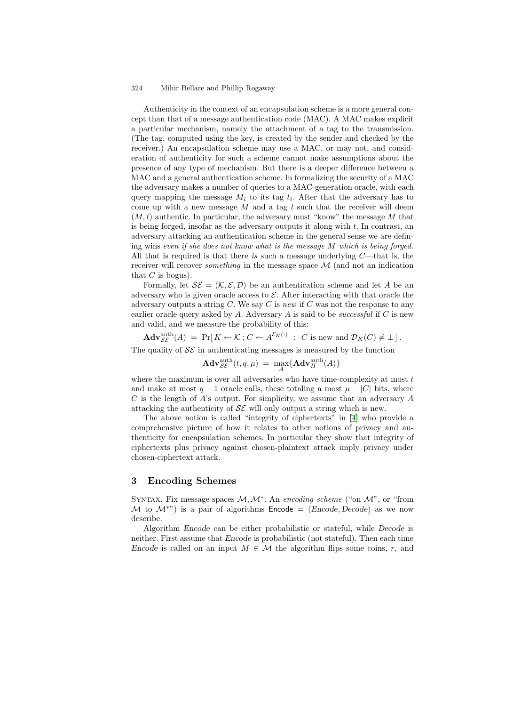Authenticity in the context of an encapsulation scheme is a more general concept than that of a message authentication code (MAC). A MAC makes explicit a particular mechanism, namely the attachment of a tag to the transmission. (The tag, computed using the key, is created by the sender and checked by the receiver.) An encapsulation scheme may use a MAC, or may not, and consideration of authenticity for such a scheme cannot make assumptions about the presence of any type of mechanism. But there is a deeper difference between a MAC and a general authentication scheme. In formalizing the security of a MAC the adversary makes a number of queries to a MAC-generation oracle, with each query mapping the message  $M_i$  to its tag  $t_i$ . After that the adversary has to come up with a new message  $M$  and a tag t such that the receiver will deem  $(M, t)$  authentic. In particular, the adversary must "know" the message M that is being forged, insofar as the adversary outputs it along with  $t$ . In contrast, an adversary attacking an authentication scheme in the general sense we are defining wins *even if she does not know what is the message* M *which is being forged.* All that is required is that there *is* such a message underlying C—that is, the receiver will recover *something* in the message space M (and not an indication that  $C$  is bogus).

Formally, let  $\mathcal{S}\mathcal{E} = (\mathcal{K}, \mathcal{E}, \mathcal{D})$  be an authentication scheme and let A be an adversary who is given oracle access to  $\mathcal E$ . After interacting with that oracle the adversary outputs a string C. We say C is *new* if C was not the response to any earlier oracle query asked by A. Adversary A is said to be *successful* if C is new and valid, and we measure the probability of this:

 $\mathbf{Adv}_{\mathcal{SE}}^{\text{auth}}(A) = \Pr[K \leftarrow \mathcal{K}; C \leftarrow A^{\mathcal{E}_{K}(\cdot)} : C \text{ is new and } \mathcal{D}_{K}(C) \neq \bot].$ 

The quality of  $\mathcal{SE}$  in authenticating messages is measured by the function

$$
\mathbf{Adv}_{\mathcal{SE}}^{\text{auth}}(t,q,\mu) = \max_{A} \{ \mathbf{Adv}_{\Pi}^{\text{auth}}(A) \}
$$

where the maximum is over all adversaries who have time-complexity at most  $t$ and make at most  $q - 1$  oracle calls, these totaling a most  $\mu - |C|$  bits, where  $C$  is the length of  $A$ 's output. For simplicity, we assume that an adversary  $A$ attacking the authenticity of  $\mathcal{S}\mathcal{E}$  will only output a string which is new.

The above notion is called "integrity of ciphertexts" in [\[4\]](#page-13-10) who provide a comprehensive picture of how it relates to other notions of privacy and authenticity for encapsulation schemes. In particular they show that integrity of ciphertexts plus privacy against chosen-plaintext attack imply privacy under chosen-ciphertext attack.

### **3 Encoding Schemes**

Syntax. Fix message spaces M,M∗. An *encoding scheme* ("on M", or "from M to  $\mathcal{M}^{(*)}$  is a pair of algorithms **Encode** = (*Encode*, *Decode*) as we now describe.

Algorithm *Encode* can be either probabilistic or stateful, while *Decode* is neither. First assume that *Encode* is probabilistic (not stateful). Then each time *Encode* is called on an input  $M \in \mathcal{M}$  the algorithm flips some coins, r, and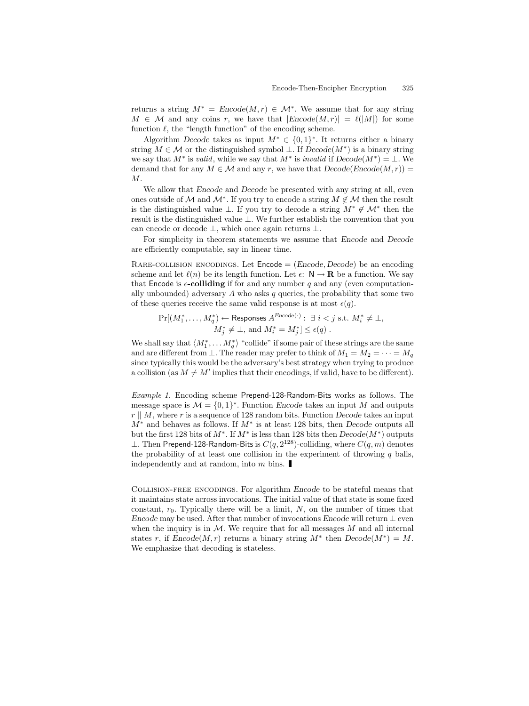returns a string  $M^* =$  *Encode*( $M, r$ )  $\in \mathcal{M}^*$ . We assume that for any string  $M \in \mathcal{M}$  and any coins r, we have that  $|Encode(M,r)| = \ell(|M|)$  for some function  $\ell$ , the "length function" of the encoding scheme.

Algorithm *Decode* takes as input  $M^* \in \{0,1\}^*$ . It returns either a binary string  $M \in \mathcal{M}$  or the distinguished symbol  $\perp$ . If  $Decode(M^*)$  is a binary string we say that  $M^*$  is *valid*, while we say that  $M^*$  is *invalid* if  $Decode(M^*) = \perp$ . We demand that for any  $M \in \mathcal{M}$  and any r, we have that  $Decode(Encode(M,r)) =$ M.

We allow that *Encode* and *Decode* be presented with any string at all, even ones outside of M and  $\mathcal{M}^*$ . If you try to encode a string  $M \notin \mathcal{M}$  then the result is the distinguished value  $\perp$ . If you try to decode a string  $M^* \notin \mathcal{M}^*$  then the result is the distinguished value ⊥. We further establish the convention that you can encode or decode  $\bot$ , which once again returns  $\bot$ .

For simplicity in theorem statements we assume that *Encode* and *Decode* are efficiently computable, say in linear time.

Rare-collision encodings. Let Encode = (*Encode*, *Decode*)be an encoding scheme and let  $\ell(n)$  be its length function. Let  $\epsilon: \mathbb{N} \to \mathbb{R}$  be a function. We say that Encode is  $\epsilon$ -colliding if for and any number q and any (even computationally unbounded) adversary A who asks q queries, the probability that some two of these queries receive the same valid response is at most  $\epsilon(q)$ .

$$
\Pr[(M_1^*, \ldots, M_q^*) \leftarrow \text{Response } A^{\text{Encode}(\cdot)}: \exists i < j \text{ s.t. } M_i^* \neq \bot, \\ M_j^* \neq \bot, \text{ and } M_i^* = M_j^*] \leq \epsilon(q) .
$$

We shall say that  $\langle M_1^*, \ldots M_q^* \rangle$  "collide" if some pair of these strings are the same and are different from  $\bot$ . The reader may prefer to think of  $M_1 = M_2 = \cdots = M_q$ since typically this would be the adversary's best strategy when trying to produce a collision (as  $M \neq M'$  implies that their encodings, if valid, have to be different).

*Example 1.* Encoding scheme Prepend-128-Random-Bits works as follows. The message space is  $\mathcal{M} = \{0, 1\}^*$ . Function *Encode* takes an input M and outputs  $r \parallel M$ , where r is a sequence of 128 random bits. Function *Decode* takes an input M<sup>∗</sup> and behaves as follows. If M<sup>∗</sup> is at least 128 bits, then *Decode* outputs all but the first 128 bits of  $M^*$ . If  $M^*$  is less than 128 bits then  $Decode(M^*)$  outputs ⊥. Then Prepend-128-Random-Bits is  $C(q, 2^{128})$ -colliding, where  $C(q, m)$  denotes the probability of at least one collision in the experiment of throwing  $q$  balls, independently and at random, into  $m$  bins.

COLLISION-FREE ENCODINGS. For algorithm *Encode* to be stateful means that it maintains state across invocations. The initial value of that state is some fixed constant,  $r_0$ . Typically there will be a limit,  $N$ , on the number of times that *Encode* may be used. After that number of invocations *Encode* will return ⊥ even when the inquiry is in  $M$ . We require that for all messages M and all internal states r, if  $Encode(M,r)$  returns a binary string  $M^*$  then  $Decode(M^*) = M$ . We emphasize that decoding is stateless.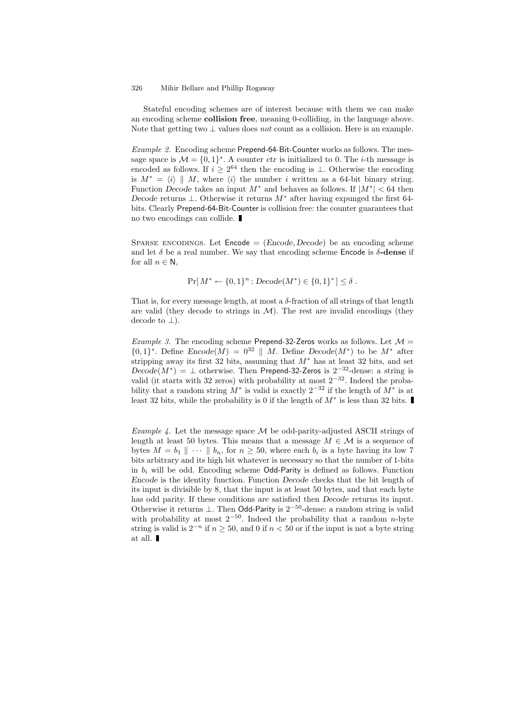Stateful encoding schemes are of interest because with them we can make an encoding scheme **collision free**, meaning 0-colliding, in the language above. Note that getting two  $\perp$  values does *not* count as a collision. Here is an example.

*Example 2.* Encoding scheme Prepend-64-Bit-Counter works as follows. The message space is  $\mathcal{M} = \{0, 1\}^*$ . A counter *ctr* is initialized to 0. The *i*-th message is encoded as follows. If  $i \geq 2^{64}$  then the encoding is  $\perp$ . Otherwise the encoding is  $M^* = \langle i \rangle \parallel M$ , where  $\langle i \rangle$  the number i written as a 64-bit binary string. Function *Decode* takes an input  $M^*$  and behaves as follows. If  $|M^*| < 64$  then *Decode* returns ⊥. Otherwise it returns  $M^*$  after having expunged the first 64bits. Clearly Prepend-64-Bit-Counter is collision free: the counter guarantees that no two encodings can collide.

SPARSE ENCODINGS. Let  $Encode = (Encode,Decode)$  be an encoding scheme and let  $\delta$  be a real number. We say that encoding scheme **Encode** is  $\delta$ **-dense** if for all  $n \in \mathbb{N}$ ,

$$
\Pr[M^* \leftarrow \{0, 1\}^n : Decode(M^*) \in \{0, 1\}^*] \le \delta.
$$

That is, for every message length, at most a  $\delta$ -fraction of all strings of that length are valid (they decode to strings in  $\mathcal{M}$ ). The rest are invalid encodings (they decode to  $\perp$ ).

*Example 3.* The encoding scheme Prepend-32-Zeros works as follows. Let  $\mathcal{M} =$  ${0,1}^*$ . Define *Encode*(M) = 0<sup>32</sup> || M. Define *Decode*(M<sup>\*</sup>) to be M<sup>\*</sup> after stripping away its first 32 bits, assuming that  $M^*$  has at least 32 bits, and set  $Decode(M^*) = \bot$  otherwise. Then Prepend-32-Zeros is  $2^{-32}$ -dense: a string is valid (it starts with 32 zeros) with probability at most  $2^{-32}$ . Indeed the probability that a random string  $M^*$  is valid is exactly  $2^{-32}$  if the length of  $M^*$  is at least 32 bits, while the probability is 0 if the length of  $M^*$  is less than 32 bits.

<span id="page-9-0"></span>*Example 4.* Let the message space M be odd-parity-adjusted ASCII strings of length at least 50 bytes. This means that a message  $M \in \mathcal{M}$  is a sequence of bytes  $M = b_1 \parallel \cdots \parallel b_n$ , for  $n \geq 50$ , where each  $b_i$  is a byte having its low 7 bits arbitrary and its high bit whatever is necessary so that the number of 1-bits in  $b_i$  will be odd. Encoding scheme Odd-Parity is defined as follows. Function *Encode* is the identity function. Function *Decode* checks that the bit length of its input is divisible by 8, that the input is at least 50 bytes, and that each byte has odd parity. If these conditions are satisfied then *Decode* returns its input. Otherwise it returns ⊥. Then Odd-Parity is 2−<sup>50</sup>-dense: a random string is valid with probability at most  $2^{-50}$ . Indeed the probability that a random *n*-byte string is valid is  $2^{-n}$  if  $n > 50$ , and 0 if  $n < 50$  or if the input is not a byte string at all.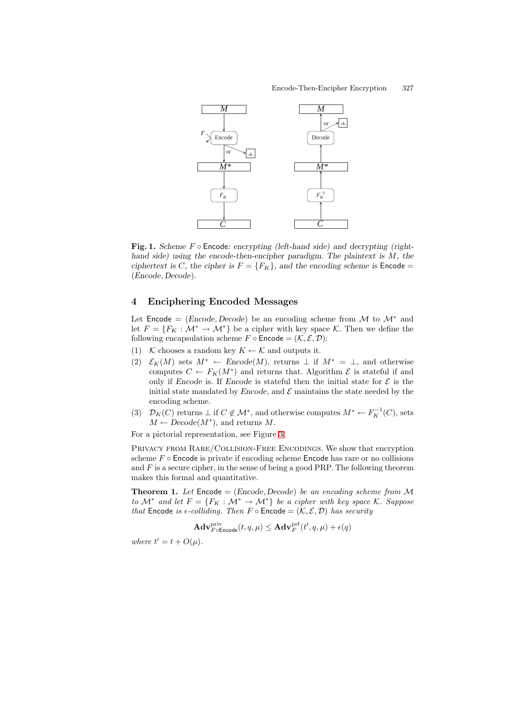

**Fig. 1.** *Scheme* F ◦ Encode*: encrypting (left-hand side) and decrypting (righthand side) using the encode-then-encipher paradigm. The plaintext is* M*, the ciphertext is* C, the cipher is  $F = \{F_K\}$ , and the encoding scheme is  $\mathsf{Encode} =$ (*Encode*, *Decode*)*.*

## **4 Enciphering Encoded Messages**

Let  $\text{Encode} = (\text{Encode}, \text{Decode})$  be an encoding scheme from M to  $\mathcal{M}^*$  and let  $F = \{F_K : \mathcal{M}^* \to \mathcal{M}^*\}\$ be a cipher with key space K. Then we define the following encapsulation scheme  $F \circ$  Encode =  $(\mathcal{K}, \mathcal{E}, \mathcal{D})$ :

- (1) K chooses a random key  $K \leftarrow \mathcal{K}$  and outputs it.
- (2)  $\mathcal{E}_K(M)$  sets  $M^* \leftarrow$  *Encode*(M), returns  $\perp$  if  $M^* = \perp$ , and otherwise computes  $C \leftarrow F_K(M^*)$  and returns that. Algorithm  $\mathcal E$  is stateful if and only if *Encode* is. If *Encode* is stateful then the initial state for  $\mathcal{E}$  is the initial state mandated by *Encode*, and  $\mathcal E$  maintains the state needed by the encoding scheme.
- (3)  $\mathcal{D}_K(C)$  returns  $\perp$  if  $C \notin \mathcal{M}^*$ , and otherwise computes  $M^* \leftarrow F_K^{-1}(C)$ , sets  $M \leftarrow \text{Decode}(M^*)$ , and returns M.

For a pictorial representation, see Figure [3.](#page-9-0)

PRIVACY FROM RARE/COLLISION-FREE ENCODINGS. We show that encryption scheme  $F \circ$  Encode is private if encoding scheme Encode has rare or no collisions and  $F$  is a secure cipher, in the sense of being a good PRP. The following theorem makes this formal and quantitative.

<span id="page-10-0"></span>**Theorem 1.** *Let* Encode = (*Encode*, *Decode*) *be an encoding scheme from* M *to*  $M^*$  *and let*  $F = \{F_K : M^* \to M^*\}$  *be a cipher with key space* K. Suppose *that* Encode *is*  $\epsilon$ -colliding. Then  $F \circ$  Encode =  $(\mathcal{K}, \mathcal{E}, \mathcal{D})$  *has security* 

 $\mathbf{Adv}_{F \circ \mathsf{Encode}}^{\text{priv}}(t, q, \mu) \leq \mathbf{Adv}_{F}^{\text{prf}}(t', q, \mu) + \epsilon(q)$ 

*where*  $t' = t + O(\mu)$ *.*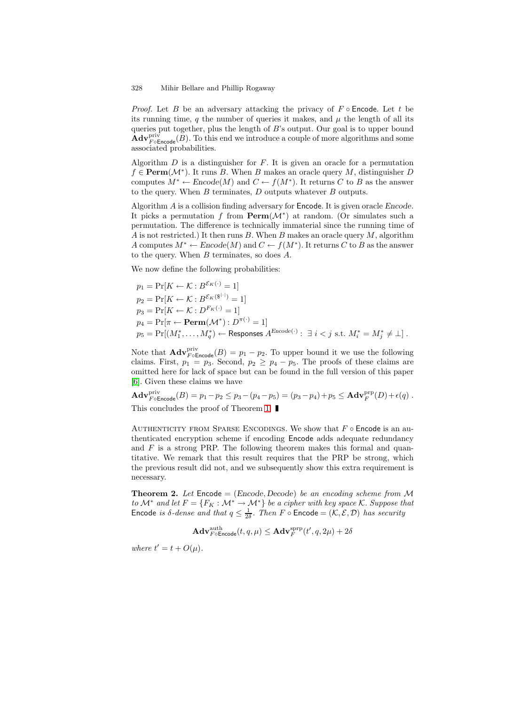*Proof.* Let B be an adversary attacking the privacy of  $F \circ$  Encode. Let t be its running time, q the number of queries it makes, and  $\mu$  the length of all its queries put together, plus the length of  $B$ 's output. Our goal is to upper bound  $\mathbf{Adv}_{F \circ \mathsf{Encode}}^{\text{priv}}(\tilde{B})$ . To this end we introduce a couple of more algorithms and some associated probabilities.

Algorithm  $D$  is a distinguisher for  $F$ . It is given an oracle for a permutation  $f \in \text{Perm}(\mathcal{M}^*)$ . It runs B. When B makes an oracle query M, distinguisher D computes  $M^* \leftarrow$  *Encode*(*M*) and  $C \leftarrow f(M^*)$ . It returns C to B as the answer to the query. When  $B$  terminates,  $D$  outputs whatever  $B$  outputs.

Algorithm A is a collision finding adversary for Encode. It is given oracle *Encode*. It picks a permutation f from  $\text{Perm}(\mathcal{M}^*)$  at random. (Or simulates such a permutation. The difference is technically immaterial since the running time of A is not restricted.) It then runs B. When B makes an oracle query  $M$ , algorithm A computes  $M^* \leftarrow$  *Encode*(M) and  $C \leftarrow f(M^*)$ . It returns C to B as the answer to the query. When B terminates, so does A.

We now define the following probabilities:

$$
p_1 = \Pr[K \leftarrow \mathcal{K} : B^{\mathcal{E}_K(\cdot)} = 1]
$$
  
\n
$$
p_2 = \Pr[K \leftarrow \mathcal{K} : B^{\mathcal{E}_K(\$^{|\cdot|})} = 1]
$$
  
\n
$$
p_3 = \Pr[K \leftarrow \mathcal{K} : D^{F_K(\cdot)} = 1]
$$
  
\n
$$
p_4 = \Pr[\pi \leftarrow \text{Perm}(\mathcal{M}^*) : D^{\pi(\cdot)} = 1]
$$
  
\n
$$
p_5 = \Pr[(M_1^*, \dots, M_q^*) \leftarrow \text{Response } A^{\text{Encode}(\cdot)} : \exists i < j \text{ s.t. } M_i^* = M_j^* \neq \bot].
$$

Note that  $\mathbf{Adv}_{F \circ \mathsf{Encode}}^{priv}(B) = p_1 - p_2$ . To upper bound it we use the following claims. First,  $p_1 = p_3$ . Second,  $p_2 \geq p_4 - p_5$ . The proofs of these claims are omitted here for lack of space but can be found in the full version of this paper [\[6\]](#page-13-13). Given these claims we have

 $\mathbf{Adv}_{F \circ \mathsf{Encode}}^{\text{priv}}(B) = p_1 - p_2 \leq p_3 - (p_4 - p_5) = (p_3 - p_4) + p_5 \leq \mathbf{Adv}_{F}^{\text{prp}}(D) + \epsilon(q)$ . This concludes the proof of Theorem [1.](#page-10-0)

AUTHENTICITY FROM SPARSE ENCODINGS. We show that  $F \circ \mathsf{Encode}$  is an authenticated encryption scheme if encoding Encode adds adequate redundancy and  $F$  is a strong PRP. The following theorem makes this formal and quantitative. We remark that this result requires that the PRP be strong, which the previous result did not, and we subsequently show this extra requirement is necessary.

<span id="page-11-0"></span>**Theorem 2.** *Let* Encode = (*Encode*, *Decode*) *be an encoding scheme from* M *to*  $\mathcal{M}^*$  *and let*  $F = \{F_K : \mathcal{M}^* \to \mathcal{M}^*\}$  *be a cipher with key space* K. Suppose that Encode *is*  $\delta$ -dense and that  $q \leq \frac{1}{2\delta}$ . Then  $F \circ$  Encode =  $(\mathcal{K}, \mathcal{E}, \mathcal{D})$  has security

 $\mathbf{Adv}_{F \circ \mathsf{Encode}}^{\text{auth}}(t, q, \mu) \leq \mathbf{Adv}_{F}^{\text{sprp}}(t', q, 2\mu) + 2\delta$ 

*where*  $t' = t + O(\mu)$ *.*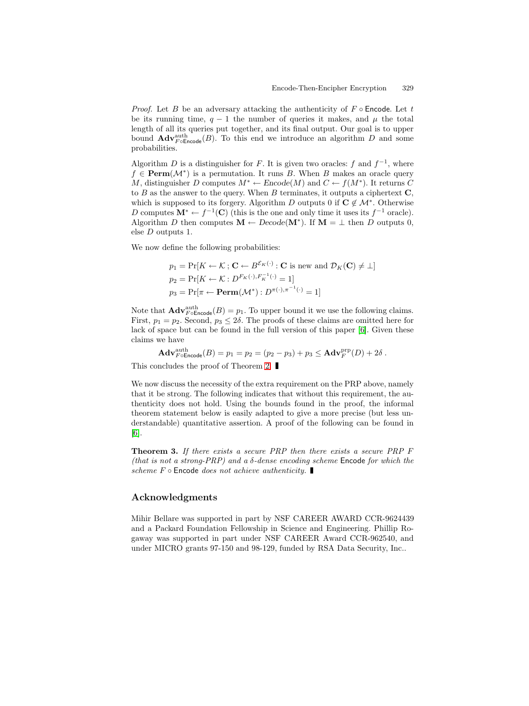*Proof.* Let B be an adversary attacking the authenticity of  $F \circ$  Encode. Let t be its running time,  $q - 1$  the number of queries it makes, and  $\mu$  the total length of all its queries put together, and its final output. Our goal is to upper bound  $\mathbf{Adv}_{F \circ \mathsf{Encode}}^{auth}(B)$ . To this end we introduce an algorithm D and some probabilities.

Algorithm D is a distinguisher for F. It is given two oracles: f and  $f^{-1}$ , where  $f \in \text{Perm}(\mathcal{M}^*)$  is a permutation. It runs B. When B makes an oracle query M, distinguisher D computes  $M^* \leftarrow$  *Encode*(M) and  $C \leftarrow f(M^*)$ . It returns C to B as the answer to the query. When B terminates, it outputs a ciphertext **C**, which is supposed to its forgery. Algorithm D outputs 0 if  $C \notin M^*$ . Otherwise D computes  $\mathbf{M}^* \leftarrow f^{-1}(\mathbf{C})$  (this is the one and only time it uses its  $f^{-1}$  oracle). Algorithm D then computes  $M \leftarrow Decode(M^*)$ . If  $M = \perp$  then D outputs 0, else D outputs 1.

We now define the following probabilities:

$$
p_1 = \Pr[K \leftarrow \mathcal{K}; \mathbf{C} \leftarrow B^{\mathcal{E}_K(\cdot)} : \mathbf{C} \text{ is new and } \mathcal{D}_K(\mathbf{C}) \neq \bot]
$$
  
\n
$$
p_2 = \Pr[K \leftarrow \mathcal{K} : D^{F_K(\cdot), F_K^{-1}(\cdot)} = 1]
$$
  
\n
$$
p_3 = \Pr[\pi \leftarrow \text{Perm}(\mathcal{M}^*) : D^{\pi(\cdot), \pi^{-1}(\cdot)} = 1]
$$

Note that  $\mathbf{Adv}_{F \circ \mathsf{Encode}}^{\text{auth}}(B) = p_1$ . To upper bound it we use the following claims. First,  $p_1 = p_2$ . Second,  $p_3 \leq 2\delta$ . The proofs of these claims are omitted here for lack of space but can be found in the full version of this paper [\[6\]](#page-13-13). Given these claims we have

 $\mathbf{Adv}_{F \circ \mathsf{Encode}}^{\text{auth}}(B) = p_1 = p_2 = (p_2 - p_3) + p_3 \leq \mathbf{Adv}_{F}^{\text{prp}}(D) + 2\delta.$ This concludes the proof of Theorem [2.](#page-11-0)  $\blacksquare$ 

We now discuss the necessity of the extra requirement on the PRP above, namely that it be strong. The following indicates that without this requirement, the authenticity does not hold. Using the bounds found in the proof, the informal theorem statement below is easily adapted to give a more precise (but less understandable) quantitative assertion. A proof of the following can be found in [\[6\]](#page-13-13).

<span id="page-12-0"></span>**Theorem 3.** *If there exists a secure PRP then there exists a secure PRP* F *(that is not a strong-PRP) and a* δ*-dense encoding scheme* Encode *for which the scheme* F ◦ Encode *does not achieve authenticity.*

### **Acknowledgments**

Mihir Bellare was supported in part by NSF CAREER AWARD CCR-9624439 and a Packard Foundation Fellowship in Science and Engineering. Phillip Rogaway was supported in part under NSF CAREER Award CCR-962540, and under MICRO grants 97-150 and 98-129, funded by RSA Data Security, Inc..